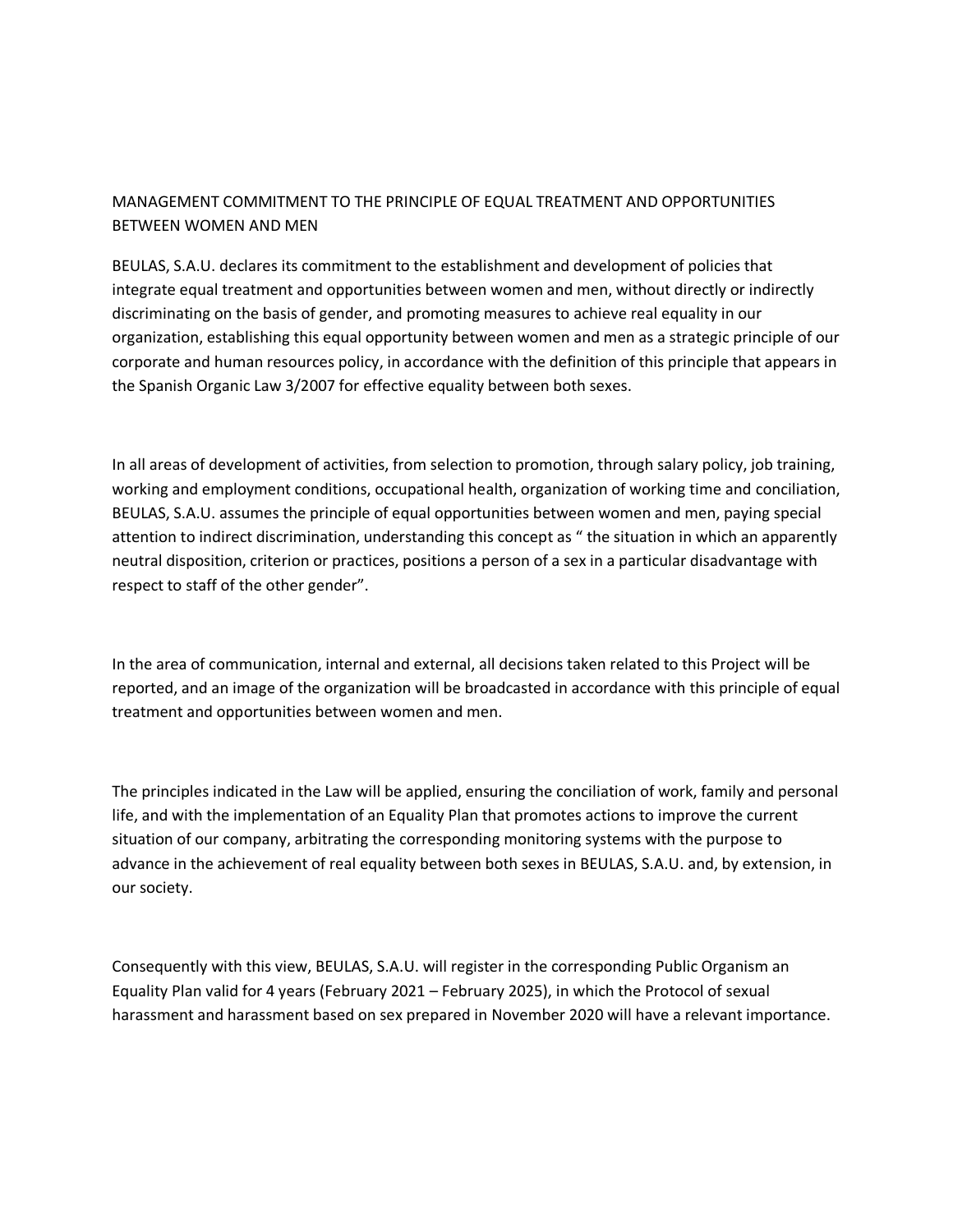## MANAGEMENT COMMITMENT TO THE PRINCIPLE OF EQUAL TREATMENT AND OPPORTUNITIES BETWEEN WOMEN AND MEN

BEULAS, S.A.U. declares its commitment to the establishment and development of policies that integrate equal treatment and opportunities between women and men, without directly or indirectly discriminating on the basis of gender, and promoting measures to achieve real equality in our organization, establishing this equal opportunity between women and men as a strategic principle of our corporate and human resources policy, in accordance with the definition of this principle that appears in the Spanish Organic Law 3/2007 for effective equality between both sexes.

In all areas of development of activities, from selection to promotion, through salary policy, job training, working and employment conditions, occupational health, organization of working time and conciliation, BEULAS, S.A.U. assumes the principle of equal opportunities between women and men, paying special attention to indirect discrimination, understanding this concept as " the situation in which an apparently neutral disposition, criterion or practices, positions a person of a sex in a particular disadvantage with respect to staff of the other gender".

In the area of communication, internal and external, all decisions taken related to this Project will be reported, and an image of the organization will be broadcasted in accordance with this principle of equal treatment and opportunities between women and men.

The principles indicated in the Law will be applied, ensuring the conciliation of work, family and personal life, and with the implementation of an Equality Plan that promotes actions to improve the current situation of our company, arbitrating the corresponding monitoring systems with the purpose to advance in the achievement of real equality between both sexes in BEULAS, S.A.U. and, by extension, in our society.

Consequently with this view, BEULAS, S.A.U. will register in the corresponding Public Organism an Equality Plan valid for 4 years (February 2021 – February 2025), in which the Protocol of sexual harassment and harassment based on sex prepared in November 2020 will have a relevant importance.